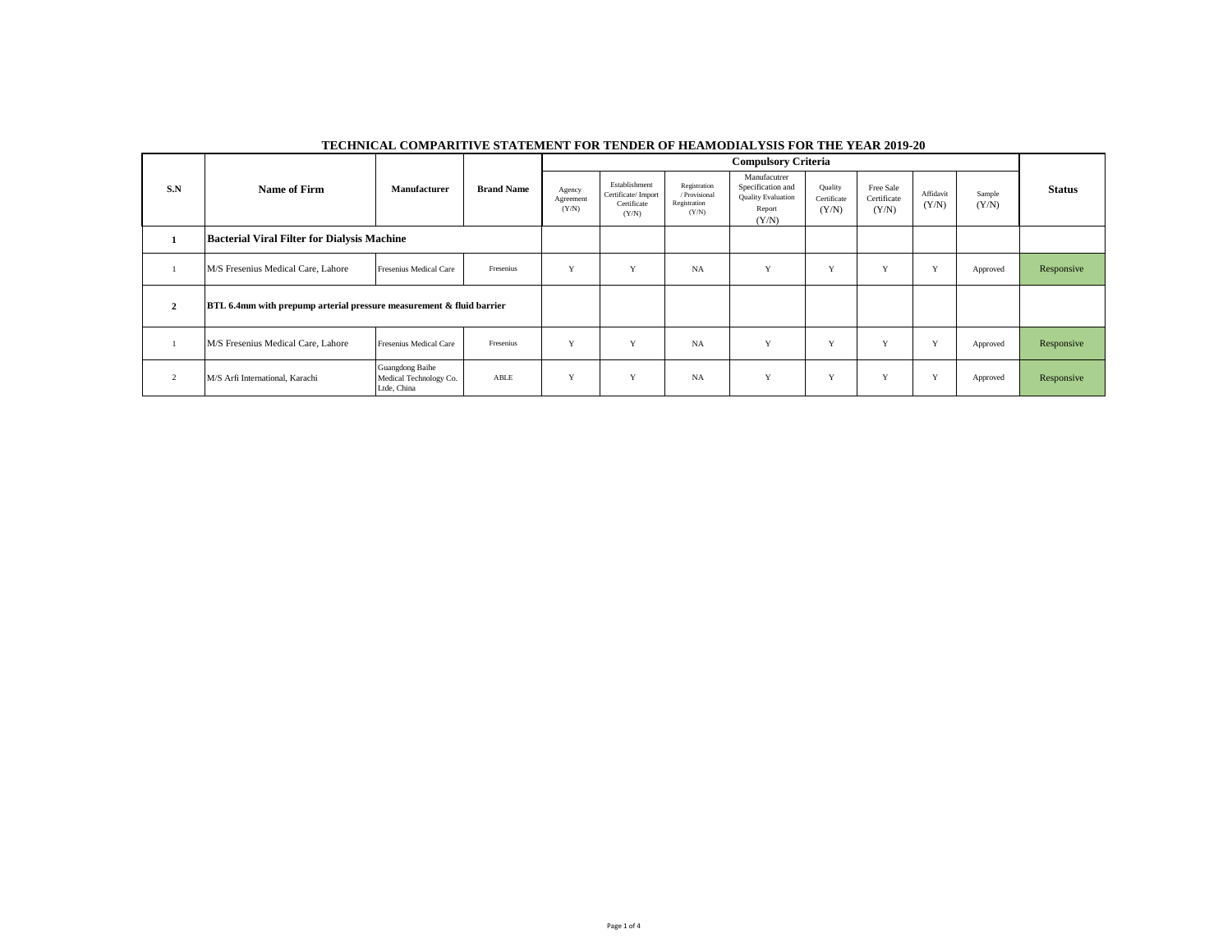|                                                                      |                                    |                                                          | <b>Brand Name</b> | <b>Compulsory Criteria</b>   |                                                             |                                                        |                                                                                   |                                 |                                   |                    |                 |               |
|----------------------------------------------------------------------|------------------------------------|----------------------------------------------------------|-------------------|------------------------------|-------------------------------------------------------------|--------------------------------------------------------|-----------------------------------------------------------------------------------|---------------------------------|-----------------------------------|--------------------|-----------------|---------------|
| S.N                                                                  | <b>Name of Firm</b>                | Manufacturer                                             |                   | Agency<br>Agreement<br>(Y/N) | Establishment<br>Certificate/Import<br>Certificate<br>(Y/N) | Registration<br>/ Provisional<br>Registration<br>(Y/N) | Manufacutrer<br>Specification and<br><b>Quality Evaluation</b><br>Report<br>(Y/N) | Quality<br>Certificate<br>(Y/N) | Free Sale<br>Certificate<br>(Y/N) | Affidavit<br>(Y/N) | Sample<br>(Y/N) | <b>Status</b> |
| <b>Bacterial Viral Filter for Dialysis Machine</b>                   |                                    |                                                          |                   |                              |                                                             |                                                        |                                                                                   |                                 |                                   |                    |                 |               |
|                                                                      | M/S Fresenius Medical Care, Lahore | <b>Fresenius Medical Care</b>                            | Fresenius         | Y                            | $\mathbf{v}$                                                | <b>NA</b>                                              | Y                                                                                 | V                               | $\mathbf{v}$                      | Y                  | Approved        | Responsive    |
| BTL 6.4mm with prepump arterial pressure measurement & fluid barrier |                                    |                                                          |                   |                              |                                                             |                                                        |                                                                                   |                                 |                                   |                    |                 |               |
|                                                                      | M/S Fresenius Medical Care, Lahore | <b>Fresenius Medical Care</b>                            | Fresenius         | Y                            | $\mathbf{v}$                                                | NA                                                     | Y                                                                                 | v                               | $\mathbf{v}$                      | Y                  | Approved        | Responsive    |
|                                                                      | M/S Arfi International, Karachi    | Guangdong Baihe<br>Medical Technology Co.<br>Ltde, China | ABLE              | Y                            | Y                                                           | <b>NA</b>                                              | Y                                                                                 | Y                               | $\mathbf{v}$                      | Y                  | Approved        | Responsive    |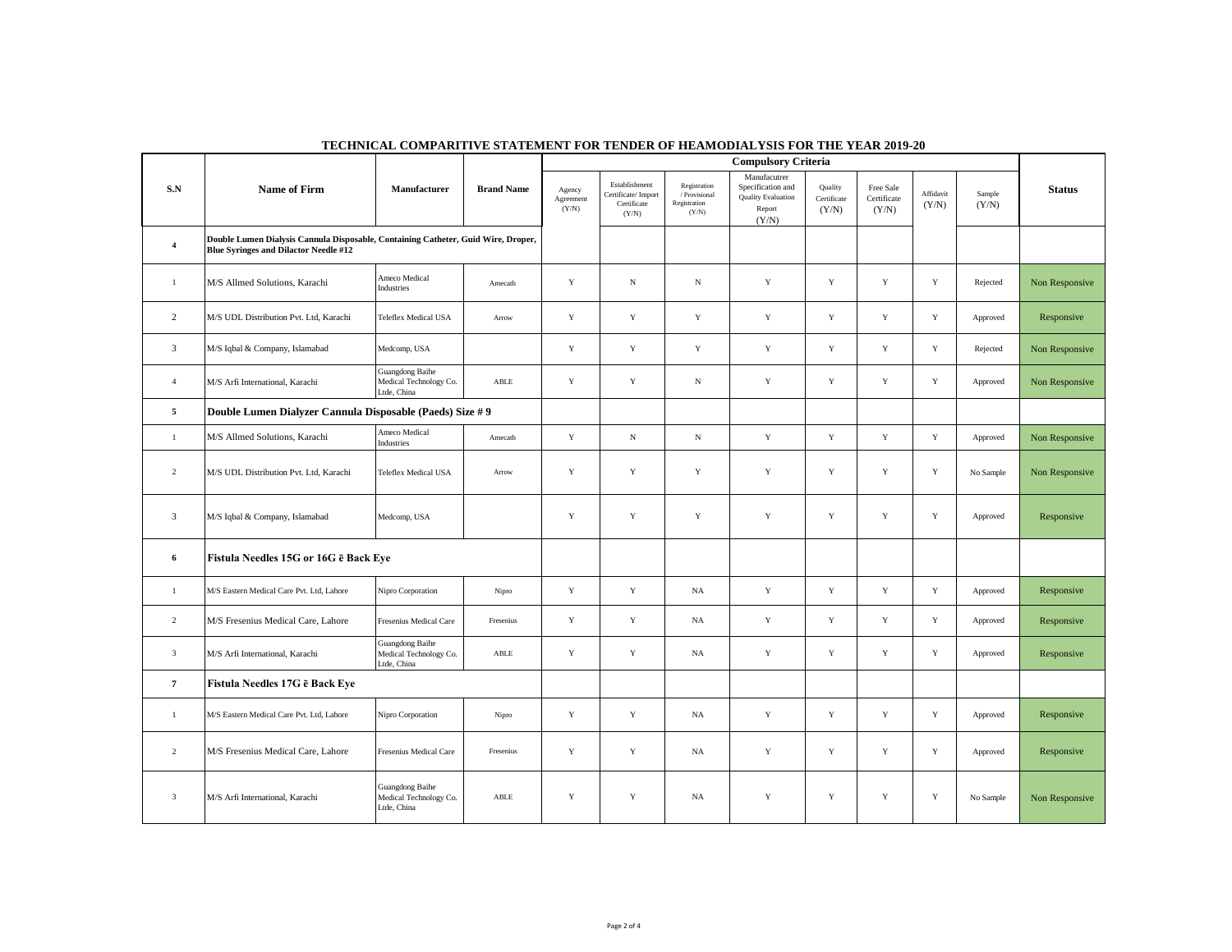|                                                                                                                                                     |                                                           | <b>Compulsory Criteria</b>                               |                   |                              |                                                             |                                                        |                                                                                   |                                 |                                   |                    |                 |                |
|-----------------------------------------------------------------------------------------------------------------------------------------------------|-----------------------------------------------------------|----------------------------------------------------------|-------------------|------------------------------|-------------------------------------------------------------|--------------------------------------------------------|-----------------------------------------------------------------------------------|---------------------------------|-----------------------------------|--------------------|-----------------|----------------|
| ${\bf S}.{\bf N}$                                                                                                                                   | Name of Firm                                              | Manufacturer                                             | <b>Brand Name</b> | Agency<br>Agreement<br>(Y/N) | Establishment<br>Certificate/Import<br>Certificate<br>(Y/N) | Registration<br>/ Provisional<br>Registration<br>(Y/N) | Manufacutrer<br>Specification and<br><b>Quality Evaluation</b><br>Report<br>(Y/N) | Quality<br>Certificate<br>(Y/N) | Free Sale<br>Certificate<br>(Y/N) | Affidavit<br>(Y/N) | Sample<br>(Y/N) | <b>Status</b>  |
| Double Lumen Dialysis Cannula Disposable, Containing Catheter, Guid Wire, Droper,<br>$\overline{4}$<br><b>Blue Syringes and Dilactor Needle #12</b> |                                                           |                                                          |                   |                              |                                                             |                                                        |                                                                                   |                                 |                                   |                    |                 |                |
| -1                                                                                                                                                  | M/S Allmed Solutions, Karachi                             | Ameco Medical<br>Industries                              | Amecath           | $\mathbf Y$                  | $_{\rm N}$                                                  | ${\bf N}$                                              | $\mathbf Y$                                                                       | $\mathbf Y$                     | $\mathbf Y$                       | $\mathbf Y$        | Rejected        | Non Responsive |
| 2                                                                                                                                                   | M/S UDL Distribution Pvt. Ltd, Karachi                    | <b>Teleflex Medical USA</b>                              | Arrow             | $\mathbf Y$                  | $\mathbf Y$                                                 | Y                                                      | Y                                                                                 | Y                               | Y                                 | Y                  | Approved        | Responsive     |
| 3                                                                                                                                                   | M/S Iqbal & Company, Islamabad                            | Medcomp, USA                                             |                   | Y                            | Y                                                           | Y                                                      | Y                                                                                 | Y                               | Y                                 | $\mathbf Y$        | Rejected        | Non Responsive |
| $\overline{4}$                                                                                                                                      | M/S Arfi International, Karachi                           | Guangdong Baihe<br>Medical Technology Co.<br>Ltde, China | ABLE              | Y                            | $\mathbf Y$                                                 | ${\bf N}$                                              | $\mathbf Y$                                                                       | $\mathbf Y$                     | $\mathbf Y$                       | $\mathbf Y$        | Approved        | Non Responsive |
| 5                                                                                                                                                   | Double Lumen Dialyzer Cannula Disposable (Paeds) Size # 9 |                                                          |                   |                              |                                                             |                                                        |                                                                                   |                                 |                                   |                    |                 |                |
| $\mathbf{1}$                                                                                                                                        | M/S Allmed Solutions, Karachi                             | Ameco Medical<br>Industries                              | Amecath           | $\mathbf Y$                  | ${\bf N}$                                                   | $\mathbf N$                                            | $\mathbf Y$                                                                       | $\mathbf Y$                     | $\mathbf Y$                       | $\mathbf Y$        | Approved        | Non Responsive |
| $\overline{2}$                                                                                                                                      | M/S UDL Distribution Pvt. Ltd, Karachi                    | <b>Teleflex Medical USA</b>                              | Arrow             | $\mathbf Y$                  | $\mathbf Y$                                                 | $\mathbf Y$                                            | $\mathbf Y$                                                                       | $\mathbf Y$                     | $\mathbf Y$                       | $\mathbf Y$        | No Sample       | Non Responsive |
| 3                                                                                                                                                   | M/S Iqbal & Company, Islamabad                            | Medcomp, USA                                             |                   | Y                            | Y                                                           | $\mathbf Y$                                            | Y                                                                                 | $\mathbf Y$                     | $\mathbf Y$                       | $\mathbf Y$        | Approved        | Responsive     |
| $6\phantom{1}6$<br>Fistula Needles 15G or 16G ē Back Eye                                                                                            |                                                           |                                                          |                   |                              |                                                             |                                                        |                                                                                   |                                 |                                   |                    |                 |                |
| $\mathbf{1}$                                                                                                                                        | M/S Eastern Medical Care Pvt. Ltd, Lahore                 | Nipro Corporation                                        | Nipro             | $\mathbf Y$                  | $\mathbf Y$                                                 | $_{\rm NA}$                                            | $\mathbf Y$                                                                       | $\mathbf Y$                     | $\mathbf Y$                       | $\mathbf Y$        | Approved        | Responsive     |
| $\overline{2}$                                                                                                                                      | M/S Fresenius Medical Care, Lahore                        | Fresenius Medical Care                                   | Fresenius         | $\mathbf Y$                  | $\mathbf Y$                                                 | NA                                                     | $\mathbf Y$                                                                       | $\mathbf Y$                     | $\mathbf Y$                       | Y                  | Approved        | Responsive     |
| $\mathbf{3}$                                                                                                                                        | M/S Arfi International, Karachi                           | Guangdong Baihe<br>Medical Technology Co.<br>tde, China  | ${\sf ABLE}$      | $\mathbf Y$                  | $\mathbf Y$                                                 | $_{\rm NA}$                                            | $\mathbf Y$                                                                       | $\mathbf Y$                     | $\mathbf Y$                       | $\mathbf Y$        | Approved        | Responsive     |
| $\overline{7}$                                                                                                                                      | Fistula Needles 17G ē Back Eye                            |                                                          |                   |                              |                                                             |                                                        |                                                                                   |                                 |                                   |                    |                 |                |
| $\mathbf{1}$                                                                                                                                        | M/S Eastern Medical Care Pvt. Ltd, Lahore                 | Nipro Corporation                                        | Nipro             | Y                            | $\mathbf Y$                                                 | NA                                                     | Y                                                                                 | $\mathbf Y$                     | $\mathbf Y$                       | $\mathbf Y$        | Approved        | Responsive     |
| $\overline{2}$                                                                                                                                      | M/S Fresenius Medical Care, Lahore                        | Fresenius Medical Care                                   | Fresenius         | $\mathbf Y$                  | $\mathbf Y$                                                 | NA                                                     | $\mathbf Y$                                                                       | $\mathbf Y$                     | $\mathbf Y$                       | $\mathbf Y$        | Approved        | Responsive     |
| $\overline{\mathbf{3}}$                                                                                                                             | M/S Arfi International, Karachi                           | Guangdong Baihe<br>Medical Technology Co.<br>Ltde, China | ABLE              | $\mathbf Y$                  | $\mathbf Y$                                                 | NA                                                     | $\mathbf Y$                                                                       | $\mathbf Y$                     | $\mathbf Y$                       | $\mathbf Y$        | No Sample       | Non Responsive |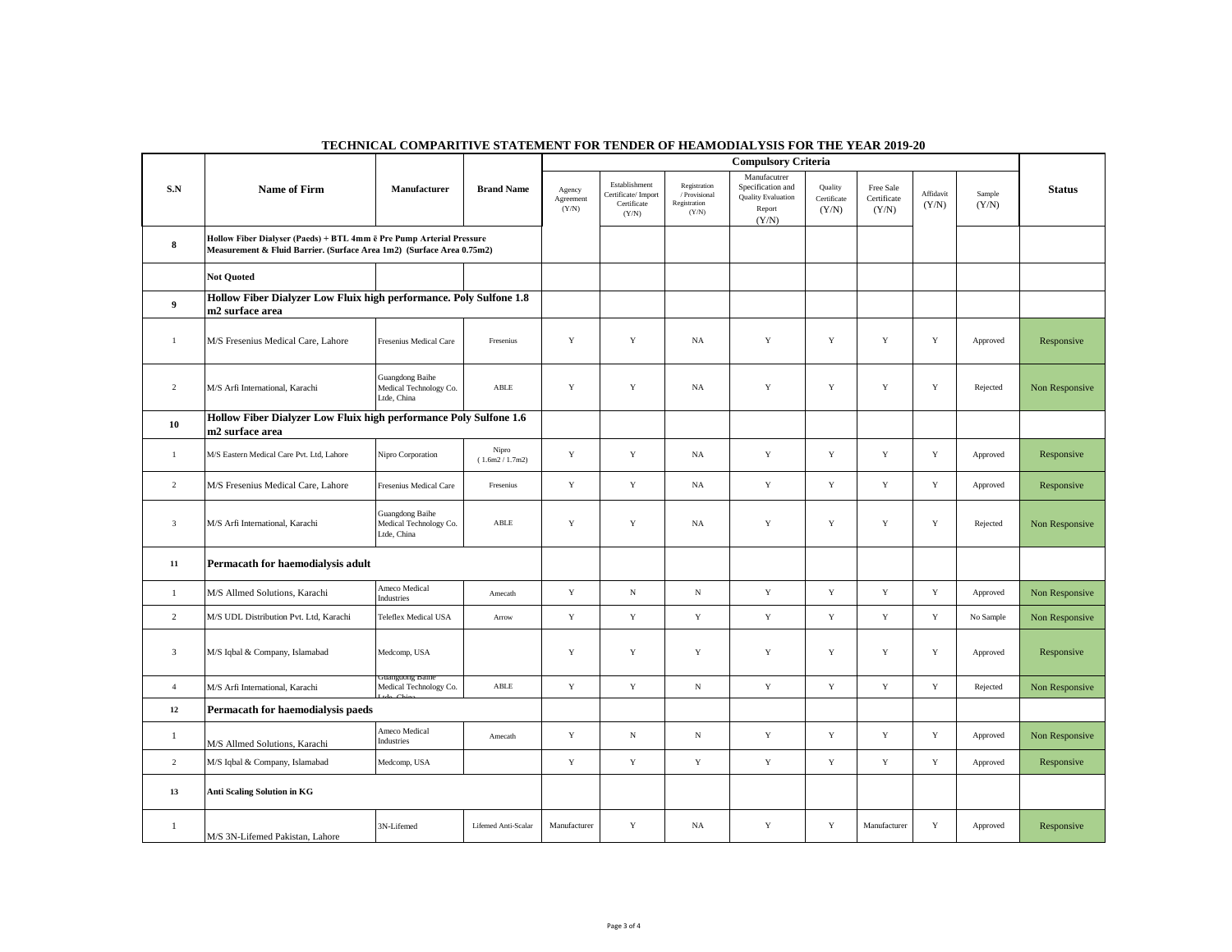|                         | <b>Compulsory Criteria</b>                                                                                                                    |                                                          |                          |                              |                                                             |                                                        |                                                                                   |                                 |                                   |                    |                 |                |
|-------------------------|-----------------------------------------------------------------------------------------------------------------------------------------------|----------------------------------------------------------|--------------------------|------------------------------|-------------------------------------------------------------|--------------------------------------------------------|-----------------------------------------------------------------------------------|---------------------------------|-----------------------------------|--------------------|-----------------|----------------|
| S.N                     | Name of Firm                                                                                                                                  | Manufacturer                                             | <b>Brand Name</b>        | Agency<br>Agreement<br>(Y/N) | Establishment<br>Certificate/Import<br>Certificate<br>(Y/N) | Registration<br>/ Provisional<br>Registration<br>(Y/N) | Manufacutrer<br>Specification and<br><b>Quality Evaluation</b><br>Report<br>(Y/N) | Quality<br>Certificate<br>(Y/N) | Free Sale<br>Certificate<br>(Y/N) | Affidavit<br>(Y/N) | Sample<br>(Y/N) | <b>Status</b>  |
| 8                       | Hollow Fiber Dialyser (Paeds) + BTL 4mm ē Pre Pump Arterial Pressure<br>Measurement & Fluid Barrier. (Surface Area 1m2) (Surface Area 0.75m2) |                                                          |                          |                              |                                                             |                                                        |                                                                                   |                                 |                                   |                    |                 |                |
|                         | <b>Not Ouoted</b>                                                                                                                             |                                                          |                          |                              |                                                             |                                                        |                                                                                   |                                 |                                   |                    |                 |                |
| $\boldsymbol{9}$        | Hollow Fiber Dialyzer Low Fluix high performance. Poly Sulfone 1.8<br>m2 surface area                                                         |                                                          |                          |                              |                                                             |                                                        |                                                                                   |                                 |                                   |                    |                 |                |
| $\overline{1}$          | M/S Fresenius Medical Care, Lahore                                                                                                            | Fresenius Medical Care                                   | Fresenius                | Y                            | Y                                                           | <b>NA</b>                                              | Y                                                                                 | Y                               | Y                                 | Y                  | Approved        | Responsive     |
| $\overline{2}$          | M/S Arfi International, Karachi                                                                                                               | Guangdong Baihe<br>Medical Technology Co.<br>Ltde, China | ABLE                     | $\mathbf Y$                  | Y                                                           | NA                                                     | Y                                                                                 | $\mathbf Y$                     | $\mathbf Y$                       | Y                  | Rejected        | Non Responsive |
| 10                      | Hollow Fiber Dialyzer Low Fluix high performance Poly Sulfone 1.6<br>m2 surface area                                                          |                                                          |                          |                              |                                                             |                                                        |                                                                                   |                                 |                                   |                    |                 |                |
| $\mathbf{1}$            | M/S Eastern Medical Care Pvt. Ltd, Lahore                                                                                                     | Nipro Corporation                                        | Nipro<br>(1.6m2 / 1.7m2) | $\mathbf Y$                  | Y                                                           | NA                                                     | Y                                                                                 | $\mathbf Y$                     | $\mathbf Y$                       | $\mathbf Y$        | Approved        | Responsive     |
| $\overline{2}$          | M/S Fresenius Medical Care, Lahore                                                                                                            | Fresenius Medical Care                                   | Fresenius                | $\mathbf Y$                  | $\mathbf Y$                                                 | NA                                                     | $\mathbf Y$                                                                       | $\mathbf Y$                     | $\mathbf Y$                       | $\mathbf Y$        | Approved        | Responsive     |
| $\overline{\mathbf{3}}$ | M/S Arfi International, Karachi                                                                                                               | Guangdong Baihe<br>Medical Technology Co.<br>Ltde, China | ABLE                     | $\mathbf Y$                  | $\mathbf Y$                                                 | NA                                                     | Y                                                                                 | $\mathbf Y$                     | $\mathbf Y$                       | $\mathbf Y$        | Rejected        | Non Responsive |
| 11                      | Permacath for haemodialysis adult                                                                                                             |                                                          |                          |                              |                                                             |                                                        |                                                                                   |                                 |                                   |                    |                 |                |
| 1                       | M/S Allmed Solutions, Karachi                                                                                                                 | Ameco Medical<br>Industries                              | Amecath                  | $\mathbf Y$                  | $_{\rm N}$                                                  | $_{\rm N}$                                             | Y                                                                                 | Y                               | $\mathbf Y$                       | $\mathbf Y$        | Approved        | Non Responsive |
| $\overline{2}$          | M/S UDL Distribution Pvt. Ltd, Karachi                                                                                                        | Teleflex Medical USA                                     | Arrow                    | $\mathbf Y$                  | $\mathbf Y$                                                 | $\mathbf Y$                                            | $\mathbf Y$                                                                       | $\mathbf Y$                     | $\mathbf Y$                       | $\mathbf Y$        | No Sample       | Non Responsive |
| 3                       | M/S Iqbal & Company, Islamabad                                                                                                                | Medcomp, USA                                             |                          | Y                            | Y                                                           | $\mathbf Y$                                            | Y                                                                                 | $\mathbf Y$                     | $\mathbf Y$                       | Y                  | Approved        | Responsive     |
| $\overline{4}$          | M/S Arfi International, Karachi                                                                                                               | Medical Technology Co.                                   | ABLE                     | $\mathbf Y$                  | $\mathbf Y$                                                 | $_{\rm N}$                                             | $\mathbf Y$                                                                       | $\mathbf Y$                     | $\mathbf Y$                       | $\mathbf Y$        | Rejected        | Non Responsive |
| $12\,$                  | Permacath for haemodialysis paeds                                                                                                             |                                                          |                          |                              |                                                             |                                                        |                                                                                   |                                 |                                   |                    |                 |                |
| 1                       | M/S Allmed Solutions, Karachi                                                                                                                 | Ameco Medical<br>Industries                              | Amecath                  | $\mathbf Y$                  | $_{\rm N}$                                                  | $_{\rm N}$                                             | $\mathbf Y$                                                                       | $\mathbf Y$                     | $\mathbf Y$                       | $\mathbf Y$        | Approved        | Non Responsive |
| $\overline{c}$          | M/S Iqbal & Company, Islamabad                                                                                                                | Medcomp, USA                                             |                          | $\mathbf Y$                  | $\mathbf Y$                                                 | $\mathbf Y$                                            | $\mathbf Y$                                                                       | $\mathbf Y$                     | $\mathbf Y$                       | $\mathbf Y$        | Approved        | Responsive     |
| 13                      | <b>Anti Scaling Solution in KG</b>                                                                                                            |                                                          |                          |                              |                                                             |                                                        |                                                                                   |                                 |                                   |                    |                 |                |
| 1                       | M/S 3N-Lifemed Pakistan, Lahore                                                                                                               | 3N-Lifemed                                               | Lifemed Anti-Scalar      | Manufacturer                 | $\mathbf Y$                                                 | NA                                                     | Y                                                                                 | $\mathbf Y$                     | Manufacturer                      | $\mathbf Y$        | Approved        | Responsive     |